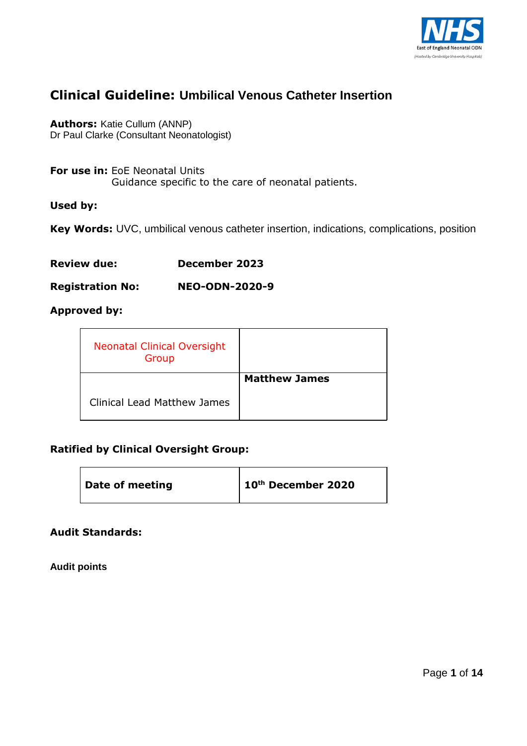

# **Clinical Guideline: Umbilical Venous Catheter Insertion**

**Authors:** Katie Cullum (ANNP) Dr Paul Clarke (Consultant Neonatologist)

**For use in:** EoE Neonatal Units Guidance specific to the care of neonatal patients.

#### **Used by:**

**Key Words:** UVC, umbilical venous catheter insertion, indications, complications, position

| <b>Review due:</b> | December 2023 |  |
|--------------------|---------------|--|
|                    |               |  |

**Registration No: NEO-ODN-2020-9**

# **Approved by:**

| <b>Neonatal Clinical Oversight</b><br>Group |                      |
|---------------------------------------------|----------------------|
|                                             | <b>Matthew James</b> |
| <b>Clinical Lead Matthew James</b>          |                      |

#### **Ratified by Clinical Oversight Group:**

| Date of meeting | 10th December 2020 |
|-----------------|--------------------|
|-----------------|--------------------|

#### **Audit Standards:**

**Audit points**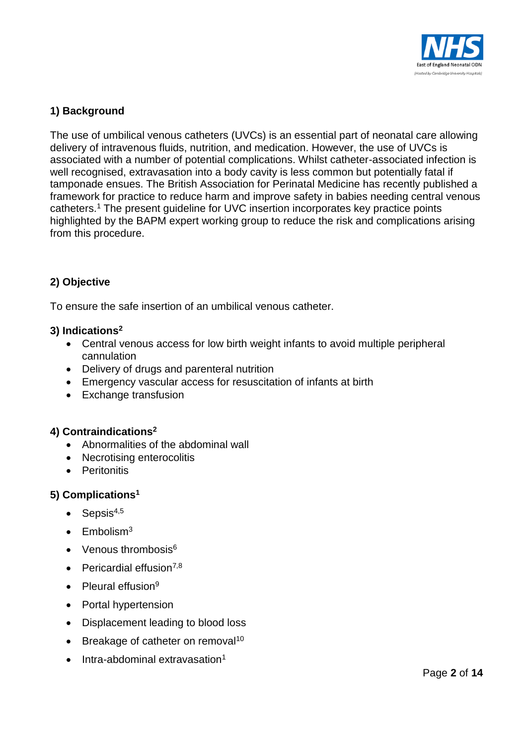

# **1) Background**

The use of umbilical venous catheters (UVCs) is an essential part of neonatal care allowing delivery of intravenous fluids, nutrition, and medication. However, the use of UVCs is associated with a number of potential complications. Whilst catheter-associated infection is well recognised, extravasation into a body cavity is less common but potentially fatal if tamponade ensues. The British Association for Perinatal Medicine has recently published a framework for practice to reduce harm and improve safety in babies needing central venous catheters.<sup>1</sup> The present guideline for UVC insertion incorporates key practice points highlighted by the BAPM expert working group to reduce the risk and complications arising from this procedure.

# **2) Objective**

To ensure the safe insertion of an umbilical venous catheter.

# **3) Indications<sup>2</sup>**

- Central venous access for low birth weight infants to avoid multiple peripheral cannulation
- Delivery of drugs and parenteral nutrition
- Emergency vascular access for resuscitation of infants at birth
- Exchange transfusion

# **4) Contraindications<sup>2</sup>**

- Abnormalities of the abdominal wall
- Necrotising enterocolitis
- **•** Peritonitis

# **5) Complications<sup>1</sup>**

- $\bullet$  Sepsis<sup>4,5</sup>
- $\bullet$  Embolism<sup>3</sup>
- $\bullet$  Venous thrombosis<sup>6</sup>
- $\bullet$  Pericardial effusion<sup>7,8</sup>
- $\bullet$  Pleural effusion<sup>9</sup>
- Portal hypertension
- Displacement leading to blood loss
- Breakage of catheter on removal<sup>10</sup>
- Intra-abdominal extravasation<sup>1</sup>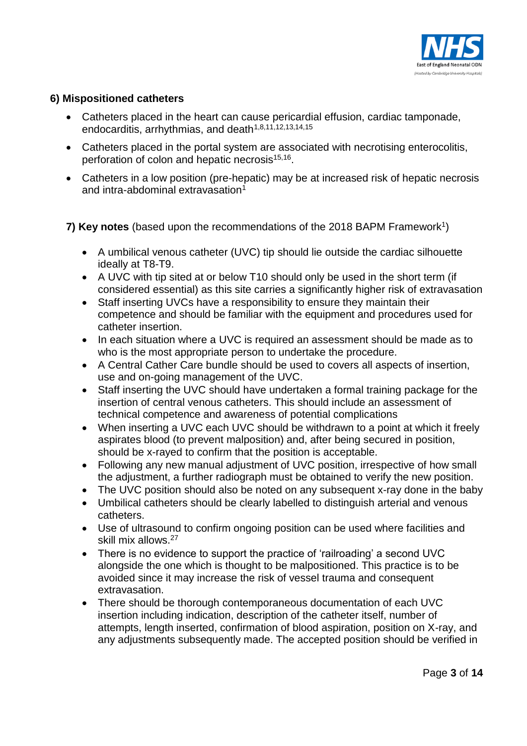

# **6) Mispositioned catheters**

- Catheters placed in the heart can cause pericardial effusion, cardiac tamponade, endocarditis, arrhythmias, and death<sup>1,8,11,12,13,14,15</sup>
- Catheters placed in the portal system are associated with necrotising enterocolitis, perforation of colon and hepatic necrosis<sup>15,16</sup>.
- Catheters in a low position (pre-hepatic) may be at increased risk of hepatic necrosis and intra-abdominal extravasation $1$

7) Key notes (based upon the recommendations of the 2018 BAPM Framework<sup>1</sup>)

- A umbilical venous catheter (UVC) tip should lie outside the cardiac silhouette ideally at T8-T9.
- A UVC with tip sited at or below T10 should only be used in the short term (if considered essential) as this site carries a significantly higher risk of extravasation
- Staff inserting UVCs have a responsibility to ensure they maintain their competence and should be familiar with the equipment and procedures used for catheter insertion.
- In each situation where a UVC is required an assessment should be made as to who is the most appropriate person to undertake the procedure.
- A Central Cather Care bundle should be used to covers all aspects of insertion, use and on-going management of the UVC.
- Staff inserting the UVC should have undertaken a formal training package for the insertion of central venous catheters. This should include an assessment of technical competence and awareness of potential complications
- When inserting a UVC each UVC should be withdrawn to a point at which it freely aspirates blood (to prevent malposition) and, after being secured in position, should be x-rayed to confirm that the position is acceptable.
- Following any new manual adjustment of UVC position, irrespective of how small the adjustment, a further radiograph must be obtained to verify the new position.
- The UVC position should also be noted on any subsequent x-ray done in the baby
- Umbilical catheters should be clearly labelled to distinguish arterial and venous catheters.
- Use of ultrasound to confirm ongoing position can be used where facilities and skill mix allows.<sup>27</sup>
- There is no evidence to support the practice of 'railroading' a second UVC alongside the one which is thought to be malpositioned. This practice is to be avoided since it may increase the risk of vessel trauma and consequent extravasation.
- There should be thorough contemporaneous documentation of each UVC insertion including indication, description of the catheter itself, number of attempts, length inserted, confirmation of blood aspiration, position on X-ray, and any adjustments subsequently made. The accepted position should be verified in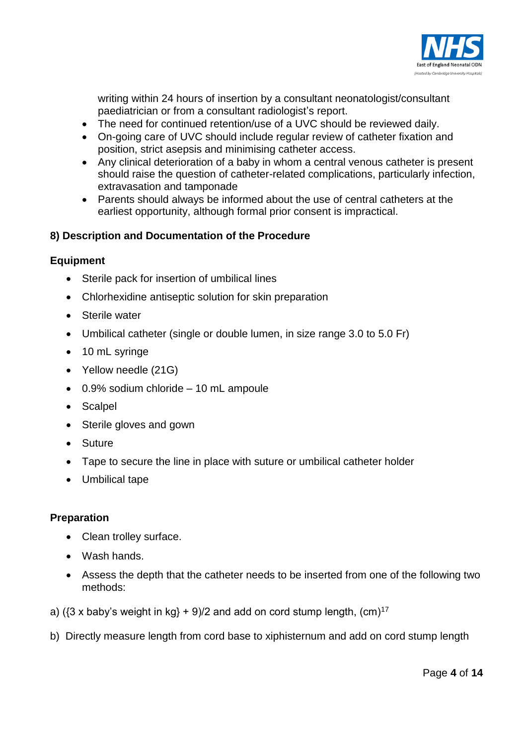

writing within 24 hours of insertion by a consultant neonatologist/consultant paediatrician or from a consultant radiologist's report.

- The need for continued retention/use of a UVC should be reviewed daily.
- On-going care of UVC should include regular review of catheter fixation and position, strict asepsis and minimising catheter access.
- Any clinical deterioration of a baby in whom a central venous catheter is present should raise the question of catheter-related complications, particularly infection, extravasation and tamponade
- Parents should always be informed about the use of central catheters at the earliest opportunity, although formal prior consent is impractical.

# **8) Description and Documentation of the Procedure**

#### **Equipment**

- Sterile pack for insertion of umbilical lines
- Chlorhexidine antiseptic solution for skin preparation
- Sterile water
- Umbilical catheter (single or double lumen, in size range 3.0 to 5.0 Fr)
- 10 mL syringe
- Yellow needle (21G)
- 0.9% sodium chloride 10 mL ampoule
- Scalpel
- Sterile gloves and gown
- Suture
- Tape to secure the line in place with suture or umbilical catheter holder
- Umbilical tape

#### **Preparation**

- Clean trolley surface.
- Wash hands.
- Assess the depth that the catheter needs to be inserted from one of the following two methods:
- a) ( $\{3 \times \text{baby's weight in kg}\} + 9$ )/2 and add on cord stump length,  $\text{(cm)}^{\frac{17}{2}}$
- b) Directly measure length from cord base to xiphisternum and add on cord stump length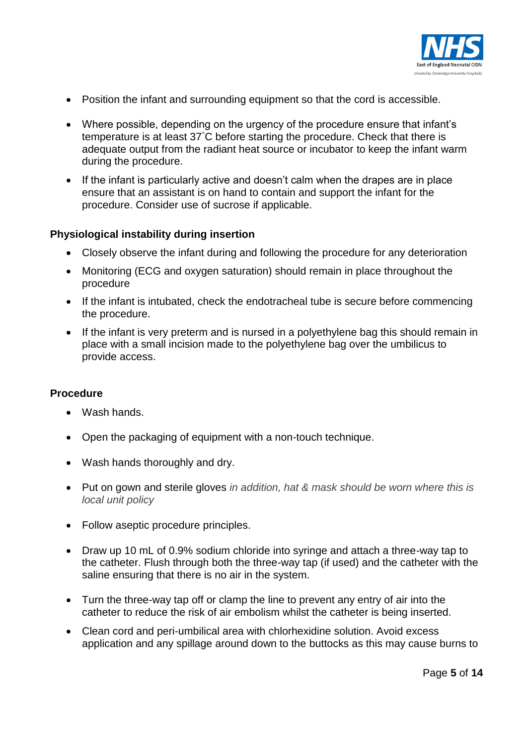

- Position the infant and surrounding equipment so that the cord is accessible.
- Where possible, depending on the urgency of the procedure ensure that infant's temperature is at least 37°C before starting the procedure. Check that there is adequate output from the radiant heat source or incubator to keep the infant warm during the procedure.
- If the infant is particularly active and doesn't calm when the drapes are in place ensure that an assistant is on hand to contain and support the infant for the procedure. Consider use of sucrose if applicable.

#### **Physiological instability during insertion**

- Closely observe the infant during and following the procedure for any deterioration
- Monitoring (ECG and oxygen saturation) should remain in place throughout the procedure
- If the infant is intubated, check the endotracheal tube is secure before commencing the procedure.
- If the infant is very preterm and is nursed in a polyethylene bag this should remain in place with a small incision made to the polyethylene bag over the umbilicus to provide access.

#### **Procedure**

- Wash hands.
- Open the packaging of equipment with a non-touch technique.
- Wash hands thoroughly and dry.
- Put on gown and sterile gloves *in addition, hat & mask should be worn where this is local unit policy*
- Follow aseptic procedure principles.
- Draw up 10 mL of 0.9% sodium chloride into syringe and attach a three-way tap to the catheter. Flush through both the three-way tap (if used) and the catheter with the saline ensuring that there is no air in the system.
- Turn the three-way tap off or clamp the line to prevent any entry of air into the catheter to reduce the risk of air embolism whilst the catheter is being inserted.
- Clean cord and peri-umbilical area with chlorhexidine solution. Avoid excess application and any spillage around down to the buttocks as this may cause burns to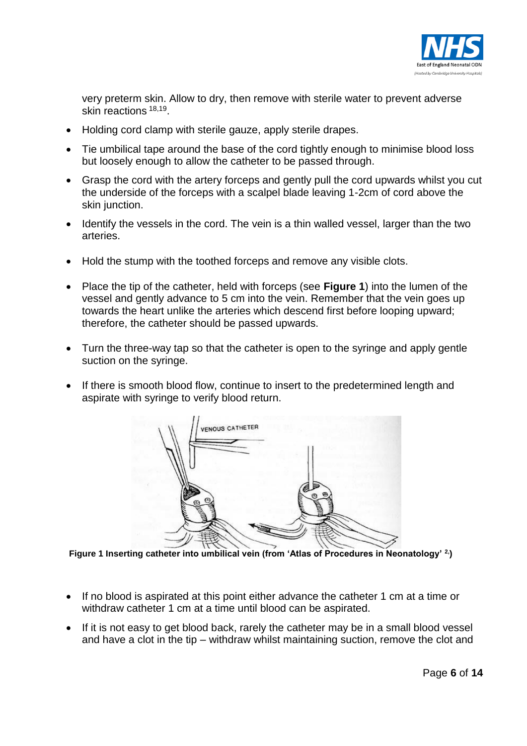

very preterm skin. Allow to dry, then remove with sterile water to prevent adverse skin reactions <sup>18,19</sup>.

- Holding cord clamp with sterile gauze, apply sterile drapes.
- Tie umbilical tape around the base of the cord tightly enough to minimise blood loss but loosely enough to allow the catheter to be passed through.
- Grasp the cord with the artery forceps and gently pull the cord upwards whilst you cut the underside of the forceps with a scalpel blade leaving 1-2cm of cord above the skin junction.
- Identify the vessels in the cord. The vein is a thin walled vessel, larger than the two arteries.
- Hold the stump with the toothed forceps and remove any visible clots.
- Place the tip of the catheter, held with forceps (see **Figure 1**) into the lumen of the vessel and gently advance to 5 cm into the vein. Remember that the vein goes up towards the heart unlike the arteries which descend first before looping upward; therefore, the catheter should be passed upwards.
- Turn the three-way tap so that the catheter is open to the syringe and apply gentle suction on the syringe.
- If there is smooth blood flow, continue to insert to the predetermined length and aspirate with syringe to verify blood return.



**Figure 1 Inserting catheter into umbilical vein (from 'Atlas of Procedures in Neonatology' 2,)** 

- If no blood is aspirated at this point either advance the catheter 1 cm at a time or withdraw catheter 1 cm at a time until blood can be aspirated.
- If it is not easy to get blood back, rarely the catheter may be in a small blood vessel and have a clot in the tip – withdraw whilst maintaining suction, remove the clot and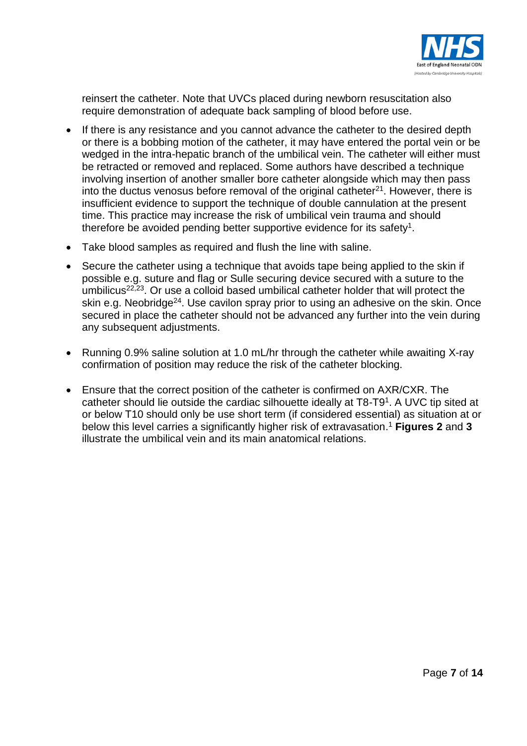

reinsert the catheter. Note that UVCs placed during newborn resuscitation also require demonstration of adequate back sampling of blood before use.

- If there is any resistance and you cannot advance the catheter to the desired depth or there is a bobbing motion of the catheter, it may have entered the portal vein or be wedged in the intra-hepatic branch of the umbilical vein. The catheter will either must be retracted or removed and replaced. Some authors have described a technique involving insertion of another smaller bore catheter alongside which may then pass into the ductus venosus before removal of the original catheter $21$ . However, there is insufficient evidence to support the technique of double cannulation at the present time. This practice may increase the risk of umbilical vein trauma and should therefore be avoided pending better supportive evidence for its safety<sup>1</sup>.
- Take blood samples as required and flush the line with saline.
- Secure the catheter using a technique that avoids tape being applied to the skin if possible e.g. suture and flag or Sulle securing device secured with a suture to the umbilicus<sup>22,23</sup>. Or use a colloid based umbilical catheter holder that will protect the skin e.g. Neobridge<sup>24</sup>. Use cavilon spray prior to using an adhesive on the skin. Once secured in place the catheter should not be advanced any further into the vein during any subsequent adjustments.
- Running 0.9% saline solution at 1.0 mL/hr through the catheter while awaiting X-ray confirmation of position may reduce the risk of the catheter blocking.
- Ensure that the correct position of the catheter is confirmed on AXR/CXR. The catheter should lie outside the cardiac silhouette ideally at T8-T9<sup>1</sup>. A UVC tip sited at or below T10 should only be use short term (if considered essential) as situation at or below this level carries a significantly higher risk of extravasation. <sup>1</sup> **Figures 2** and **3** illustrate the umbilical vein and its main anatomical relations.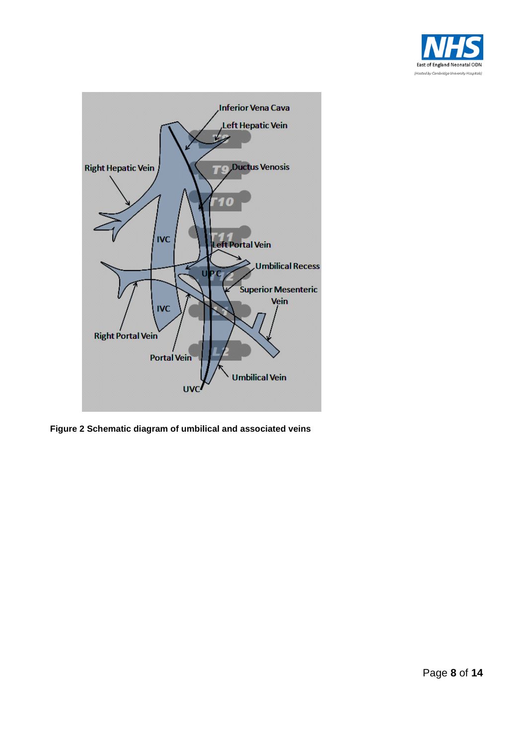



**Figure 2 Schematic diagram of umbilical and associated veins**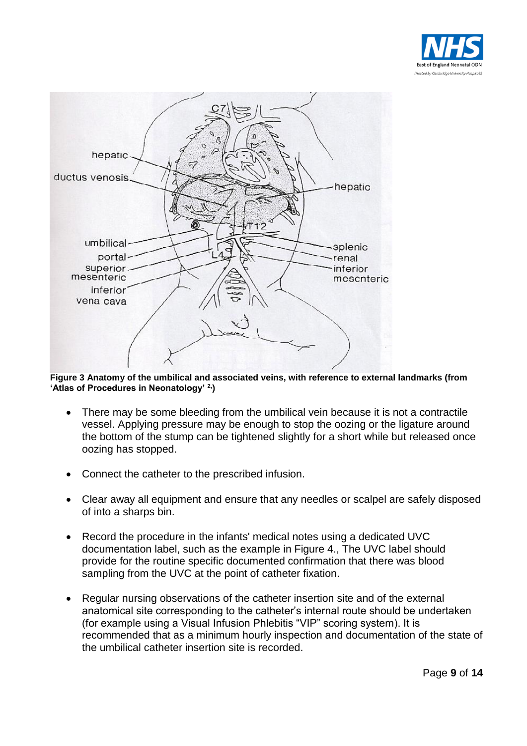



**Figure 3 Anatomy of the umbilical and associated veins, with reference to external landmarks (from 'Atlas of Procedures in Neonatology' 2,)**

- There may be some bleeding from the umbilical vein because it is not a contractile vessel. Applying pressure may be enough to stop the oozing or the ligature around the bottom of the stump can be tightened slightly for a short while but released once oozing has stopped.
- Connect the catheter to the prescribed infusion.
- Clear away all equipment and ensure that any needles or scalpel are safely disposed of into a sharps bin.
- Record the procedure in the infants' medical notes using a dedicated UVC documentation label, such as the example in Figure 4., The UVC label should provide for the routine specific documented confirmation that there was blood sampling from the UVC at the point of catheter fixation.
- Regular nursing observations of the catheter insertion site and of the external anatomical site corresponding to the catheter's internal route should be undertaken (for example using a Visual Infusion Phlebitis "VIP" scoring system). It is recommended that as a minimum hourly inspection and documentation of the state of the umbilical catheter insertion site is recorded.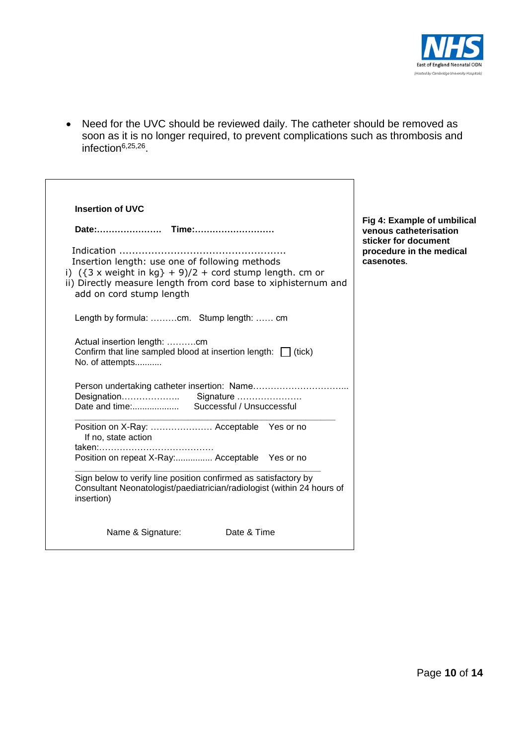

 Need for the UVC should be reviewed daily. The catheter should be removed as soon as it is no longer required, to prevent complications such as thrombosis and infection<sup>6,25,26</sup>.

 $\overline{\mathbf{1}}$ 

| Indication<br>Insertion length: use one of following methods<br>i) $({3 \times \text{weight in kg}} + 9)/2 + \text{cord stump length. cm or}$<br>ii) Directly measure length from cord base to xiphisternum and<br>add on cord stump length<br>Length by formula: cm. Stump length:  cm<br>Actual insertion length: cm<br>Confirm that line sampled blood at insertion length: $\Box$ (tick)<br>No. of attempts | Fig 4: Example of umbilical<br>venous catheterisation<br>sticker for document<br>procedure in the medical<br>casenotes. |
|-----------------------------------------------------------------------------------------------------------------------------------------------------------------------------------------------------------------------------------------------------------------------------------------------------------------------------------------------------------------------------------------------------------------|-------------------------------------------------------------------------------------------------------------------------|
|                                                                                                                                                                                                                                                                                                                                                                                                                 |                                                                                                                         |
| Successful / Unsuccessful<br>Date and time:<br>Position on X-Ray:  Acceptable Yes or no                                                                                                                                                                                                                                                                                                                         |                                                                                                                         |
| If no, state action                                                                                                                                                                                                                                                                                                                                                                                             |                                                                                                                         |
| Position on repeat X-Ray: Acceptable  Yes or no                                                                                                                                                                                                                                                                                                                                                                 |                                                                                                                         |
| Sign below to verify line position confirmed as satisfactory by<br>Consultant Neonatologist/paediatrician/radiologist (within 24 hours of<br>insertion)                                                                                                                                                                                                                                                         |                                                                                                                         |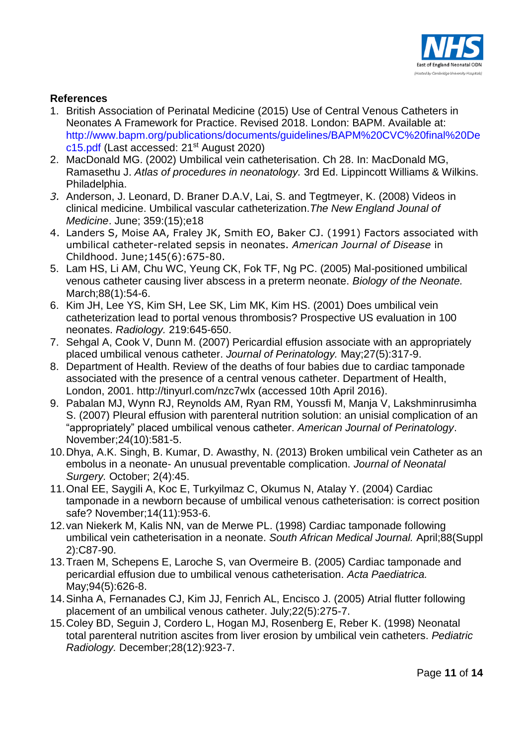

# **References**

- 1. British Association of Perinatal Medicine (2015) Use of Central Venous Catheters in Neonates A Framework for Practice. Revised 2018. London: BAPM. Available at: [http://www.bapm.org/publications/documents/guidelines/BAPM%20CVC%20final%20De](http://www.bapm.org/publications/documents/guidelines/BAPM%20CVC%20final%20Dec15.pdf) [c15.pdf](http://www.bapm.org/publications/documents/guidelines/BAPM%20CVC%20final%20Dec15.pdf) (Last accessed: 21st August 2020)
- 2. MacDonald MG. (2002) Umbilical vein catheterisation. Ch 28. In: MacDonald MG, Ramasethu J. *Atlas of procedures in neonatology.* 3rd Ed. Lippincott Williams & Wilkins. Philadelphia.
- *3.* Anderson, J. Leonard, D. Braner D.A.V, Lai, S. and Tegtmeyer, K. (2008) Videos in clinical medicine. Umbilical vascular catheterization.*The New England Jounal of Medicine*. June; 359:(15);e18
- 4. Landers S, Moise AA, Fraley JK, Smith EO, Baker CJ. (1991) Factors associated with umbilical catheter-related sepsis in neonates. *American Journal of Disease* in Childhood. June;145(6):675-80.
- 5. Lam HS, Li AM, Chu WC, Yeung CK, Fok TF, Ng PC. (2005) Mal-positioned umbilical venous catheter causing liver abscess in a preterm neonate. *Biology of the Neonate.* March; 88(1): 54-6.
- 6. Kim JH, Lee YS, Kim SH, Lee SK, Lim MK, Kim HS. (2001) Does umbilical vein catheterization lead to portal venous thrombosis? Prospective US evaluation in 100 neonates. *Radiology.* 219:645-650.
- 7. Sehgal A, Cook V, Dunn M. (2007) Pericardial effusion associate with an appropriately placed umbilical venous catheter. *Journal of Perinatology.* May;27(5):317-9.
- 8. Department of Health. Review of the deaths of four babies due to cardiac tamponade associated with the presence of a central venous catheter. Department of Health, London, 2001. http://tinyurl.com/nzc7wlx (accessed 10th April 2016).
- 9. Pabalan MJ, Wynn RJ, Reynolds AM, Ryan RM, Youssfi M, Manja V, Lakshminrusimha S. (2007) Pleural effusion with parenteral nutrition solution: an unisial complication of an "appropriately" placed umbilical venous catheter. *American Journal of Perinatology*. November;24(10):581-5.
- 10.Dhya, A.K. Singh, B. Kumar, D. Awasthy, N. (2013) Broken umbilical vein Catheter as an embolus in a neonate- An unusual preventable complication. *Journal of Neonatal Surgery.* October; 2(4):45.
- 11.Onal EE, Saygili A, Koc E, Turkyilmaz C, Okumus N, Atalay Y. (2004) Cardiac tamponade in a newborn because of umbilical venous catheterisation: is correct position safe? November;14(11):953-6.
- 12.van Niekerk M, Kalis NN, van de Merwe PL. (1998) Cardiac tamponade following umbilical vein catheterisation in a neonate. *South African Medical Journal.* April;88(Suppl 2):C87-90.
- 13.Traen M, Schepens E, Laroche S, van Overmeire B. (2005) Cardiac tamponade and pericardial effusion due to umbilical venous catheterisation. *Acta Paediatrica.*  May;94(5):626-8.
- 14.Sinha A, Fernanades CJ, Kim JJ, Fenrich AL, Encisco J. (2005) Atrial flutter following placement of an umbilical venous catheter. July;22(5):275-7.
- 15.Coley BD, Seguin J, Cordero L, Hogan MJ, Rosenberg E, Reber K. (1998) Neonatal total parenteral nutrition ascites from liver erosion by umbilical vein catheters. *Pediatric Radiology.* December;28(12):923-7.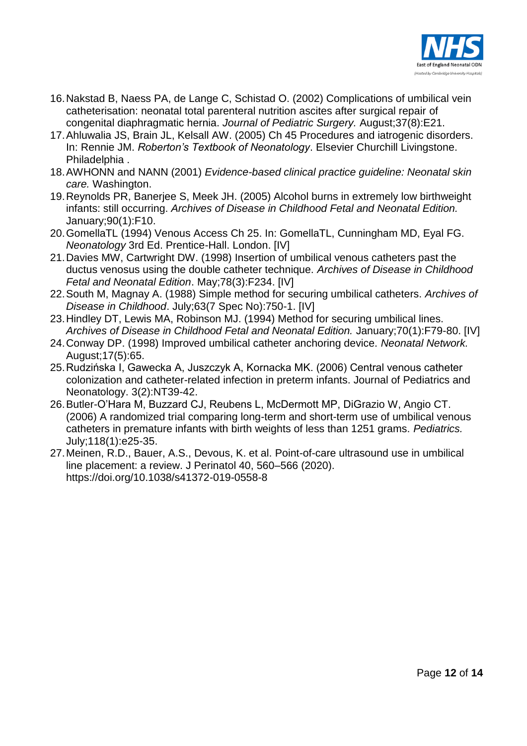

- 16.Nakstad B, Naess PA, de Lange C, Schistad O. (2002) Complications of umbilical vein catheterisation: neonatal total parenteral nutrition ascites after surgical repair of congenital diaphragmatic hernia. *Journal of Pediatric Surgery.* August;37(8):E21.
- 17.Ahluwalia JS, Brain JL, Kelsall AW. (2005) Ch 45 Procedures and iatrogenic disorders. In: Rennie JM. *Roberton's Textbook of Neonatology*. Elsevier Churchill Livingstone. Philadelphia .
- 18.AWHONN and NANN (2001) *Evidence-based clinical practice guideline: Neonatal skin care.* Washington.
- 19.Reynolds PR, Banerjee S, Meek JH. (2005) Alcohol burns in extremely low birthweight infants: still occurring. *Archives of Disease in Childhood Fetal and Neonatal Edition.*  January;90(1):F10.
- 20.GomellaTL (1994) Venous Access Ch 25. In: GomellaTL, Cunningham MD, Eyal FG. *Neonatology* 3rd Ed. Prentice-Hall. London. [IV]
- 21.Davies MW, Cartwright DW. (1998) Insertion of umbilical venous catheters past the ductus venosus using the double catheter technique. *Archives of Disease in Childhood Fetal and Neonatal Edition*. May;78(3):F234. [IV]
- 22.South M, Magnay A. (1988) Simple method for securing umbilical catheters. *Archives of Disease in Childhood*. July;63(7 Spec No):750-1. [IV]
- 23.Hindley DT, Lewis MA, Robinson MJ. (1994) Method for securing umbilical lines. *Archives of Disease in Childhood Fetal and Neonatal Edition.* January;70(1):F79-80. [IV]
- 24.Conway DP. (1998) Improved umbilical catheter anchoring device. *Neonatal Network.*  August;17(5):65.
- 25.Rudzińska I, Gawecka A, Juszczyk A, Kornacka MK. (2006) Central venous catheter colonization and catheter-related infection in preterm infants. Journal of Pediatrics and Neonatology. 3(2):NT39-42.
- 26.Butler-O'Hara M, Buzzard CJ, Reubens L, McDermott MP, DiGrazio W, Angio CT. (2006) A randomized trial comparing long-term and short-term use of umbilical venous catheters in premature infants with birth weights of less than 1251 grams. *Pediatrics.*  July;118(1):e25-35.
- 27.Meinen, R.D., Bauer, A.S., Devous, K. et al. Point-of-care ultrasound use in umbilical line placement: a review. J Perinatol 40, 560–566 (2020). https://doi.org/10.1038/s41372-019-0558-8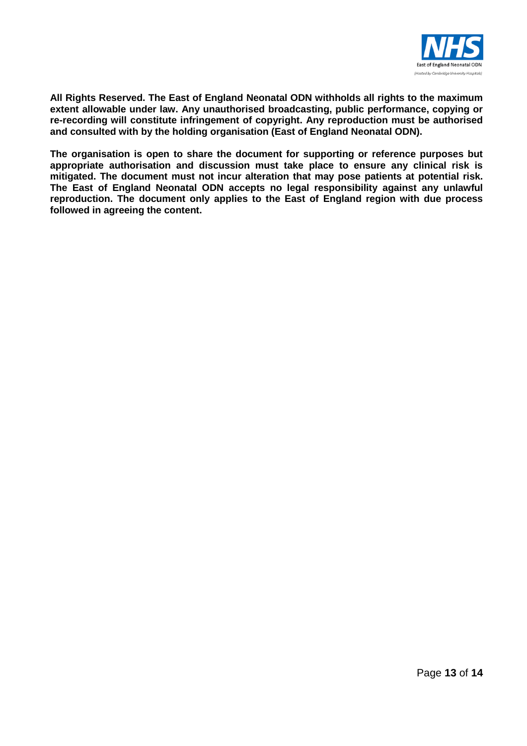

**All Rights Reserved. The East of England Neonatal ODN withholds all rights to the maximum extent allowable under law. Any unauthorised broadcasting, public performance, copying or re-recording will constitute infringement of copyright. Any reproduction must be authorised and consulted with by the holding organisation (East of England Neonatal ODN).**

**The organisation is open to share the document for supporting or reference purposes but appropriate authorisation and discussion must take place to ensure any clinical risk is mitigated. The document must not incur alteration that may pose patients at potential risk. The East of England Neonatal ODN accepts no legal responsibility against any unlawful reproduction. The document only applies to the East of England region with due process followed in agreeing the content.**